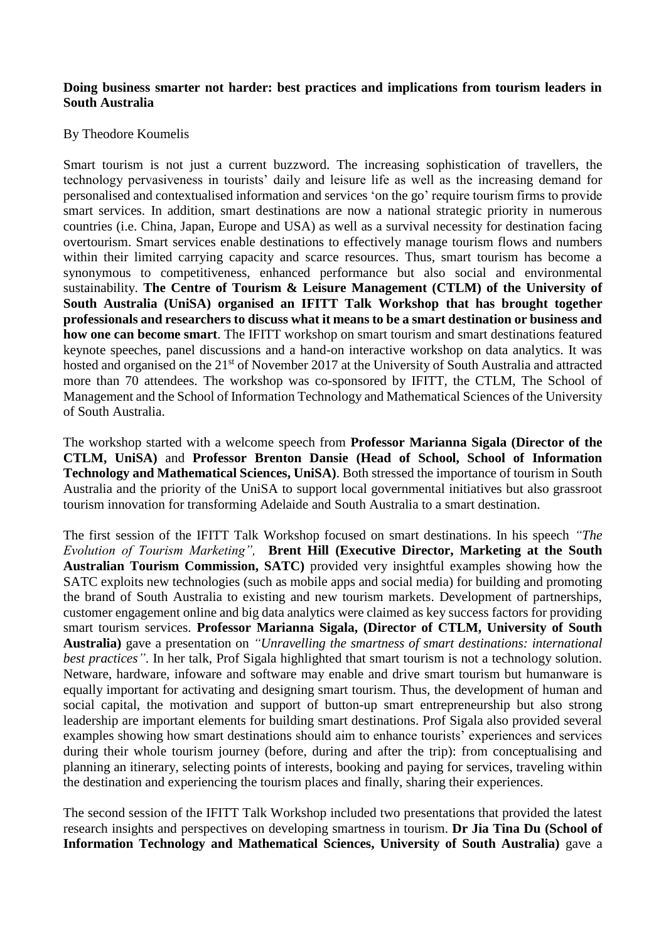## **Doing business smarter not harder: best practices and implications from tourism leaders in South Australia**

## By Theodore Koumelis

Smart tourism is not just a current buzzword. The increasing sophistication of travellers, the technology pervasiveness in tourists' daily and leisure life as well as the increasing demand for personalised and contextualised information and services 'on the go' require tourism firms to provide smart services. In addition, smart destinations are now a national strategic priority in numerous countries (i.e. China, Japan, Europe and USA) as well as a survival necessity for destination facing overtourism. Smart services enable destinations to effectively manage tourism flows and numbers within their limited carrying capacity and scarce resources. Thus, smart tourism has become a synonymous to competitiveness, enhanced performance but also social and environmental sustainability. **The Centre of Tourism & Leisure Management (CTLM) of the University of South Australia (UniSA) organised an IFITT Talk Workshop that has brought together professionals and researchers to discuss what it means to be a smart destination or business and how one can become smart**. The IFITT workshop on smart tourism and smart destinations featured keynote speeches, panel discussions and a hand-on interactive workshop on data analytics. It was hosted and organised on the 21<sup>st</sup> of November 2017 at the University of South Australia and attracted more than 70 attendees. The workshop was co-sponsored by IFITT, the CTLM, The School of Management and the School of Information Technology and Mathematical Sciences of the University of South Australia.

The workshop started with a welcome speech from **Professor Marianna Sigala (Director of the CTLM, UniSA)** and **Professor Brenton Dansie (Head of School, School of Information Technology and Mathematical Sciences, UniSA)**. Both stressed the importance of tourism in South Australia and the priority of the UniSA to support local governmental initiatives but also grassroot tourism innovation for transforming Adelaide and South Australia to a smart destination.

The first session of the IFITT Talk Workshop focused on smart destinations. In his speech *"The Evolution of Tourism Marketing",* **Brent Hill (Executive Director, Marketing at the South Australian Tourism Commission, SATC)** provided very insightful examples showing how the SATC exploits new technologies (such as mobile apps and social media) for building and promoting the brand of South Australia to existing and new tourism markets. Development of partnerships, customer engagement online and big data analytics were claimed as key success factors for providing smart tourism services. **Professor Marianna Sigala, (Director of CTLM, University of South Australia)** gave a presentation on *"Unravelling the smartness of smart destinations: international best practices*". In her talk, Prof Sigala highlighted that smart tourism is not a technology solution. Netware, hardware, infoware and software may enable and drive smart tourism but humanware is equally important for activating and designing smart tourism. Thus, the development of human and social capital, the motivation and support of button-up smart entrepreneurship but also strong leadership are important elements for building smart destinations. Prof Sigala also provided several examples showing how smart destinations should aim to enhance tourists' experiences and services during their whole tourism journey (before, during and after the trip): from conceptualising and planning an itinerary, selecting points of interests, booking and paying for services, traveling within the destination and experiencing the tourism places and finally, sharing their experiences.

The second session of the IFITT Talk Workshop included two presentations that provided the latest research insights and perspectives on developing smartness in tourism. **Dr Jia Tina Du (School of Information Technology and Mathematical Sciences, University of South Australia)** gave a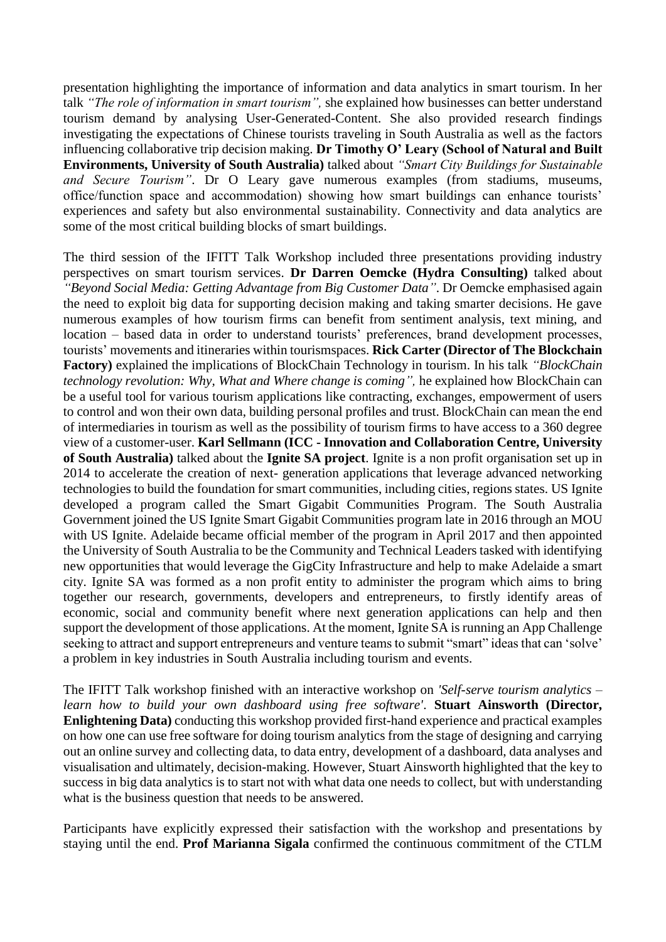presentation highlighting the importance of information and data analytics in smart tourism. In her talk *"The role of information in smart tourism",* she explained how businesses can better understand tourism demand by analysing User-Generated-Content. She also provided research findings investigating the expectations of Chinese tourists traveling in South Australia as well as the factors influencing collaborative trip decision making. **Dr Timothy O' Leary (School of Natural and Built Environments, University of South Australia)** talked about *"Smart City Buildings for Sustainable and Secure Tourism"*. Dr O Leary gave numerous examples (from stadiums, museums, office/function space and accommodation) showing how smart buildings can enhance tourists' experiences and safety but also environmental sustainability. Connectivity and data analytics are some of the most critical building blocks of smart buildings.

The third session of the IFITT Talk Workshop included three presentations providing industry perspectives on smart tourism services. **Dr Darren Oemcke (Hydra Consulting)** talked about *"Beyond Social Media: Getting Advantage from Big Customer Data"*. Dr Oemcke emphasised again the need to exploit big data for supporting decision making and taking smarter decisions. He gave numerous examples of how tourism firms can benefit from sentiment analysis, text mining, and location – based data in order to understand tourists' preferences, brand development processes, tourists' movements and itineraries within tourismspaces. **Rick Carter (Director of The Blockchain Factory)** explained the implications of BlockChain Technology in tourism. In his talk *"BlockChain technology revolution: Why, What and Where change is coming",* he explained how BlockChain can be a useful tool for various tourism applications like contracting, exchanges, empowerment of users to control and won their own data, building personal profiles and trust. BlockChain can mean the end of intermediaries in tourism as well as the possibility of tourism firms to have access to a 360 degree view of a customer-user. **Karl Sellmann (ICC - Innovation and Collaboration Centre, University of South Australia)** talked about the **Ignite SA project**. Ignite is a non profit organisation set up in 2014 to accelerate the creation of next- generation applications that leverage advanced networking technologies to build the foundation for smart communities, including cities, regions states. US Ignite developed a program called the Smart Gigabit Communities Program. The South Australia Government joined the US Ignite Smart Gigabit Communities program late in 2016 through an MOU with US Ignite. Adelaide became official member of the program in April 2017 and then appointed the University of South Australia to be the Community and Technical Leaders tasked with identifying new opportunities that would leverage the GigCity Infrastructure and help to make Adelaide a smart city. Ignite SA was formed as a non profit entity to administer the program which aims to bring together our research, governments, developers and entrepreneurs, to firstly identify areas of economic, social and community benefit where next generation applications can help and then support the development of those applications. At the moment, Ignite SA is running an App Challenge seeking to attract and support entrepreneurs and venture teams to submit "smart" ideas that can 'solve' a problem in key industries in South Australia including tourism and events.

The IFITT Talk workshop finished with an interactive workshop on *'Self-serve tourism analytics – learn how to build your own dashboard using free software'*. **Stuart Ainsworth (Director, Enlightening Data)** conducting this workshop provided first-hand experience and practical examples on how one can use free software for doing tourism analytics from the stage of designing and carrying out an online survey and collecting data, to data entry, development of a dashboard, data analyses and visualisation and ultimately, decision-making. However, Stuart Ainsworth highlighted that the key to success in big data analytics is to start not with what data one needs to collect, but with understanding what is the business question that needs to be answered.

Participants have explicitly expressed their satisfaction with the workshop and presentations by staying until the end. **Prof Marianna Sigala** confirmed the continuous commitment of the CTLM